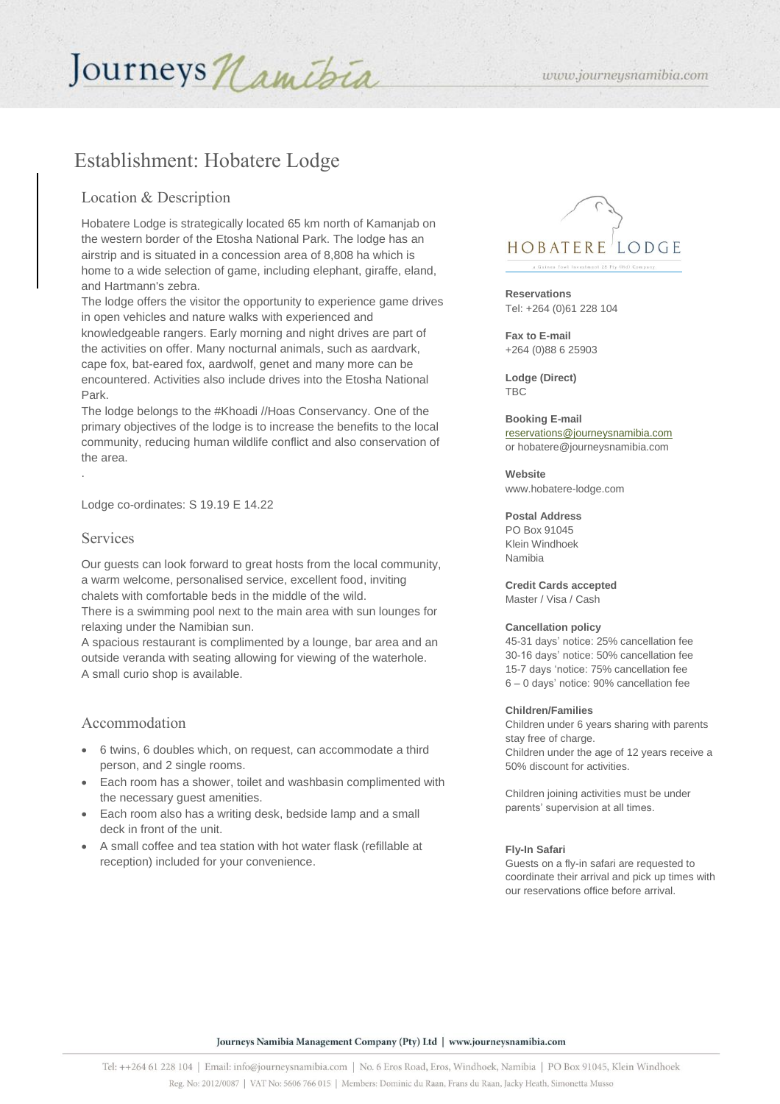# Journeys Namibia

# Establishment: Hobatere Lodge

## Location & Description

Hobatere Lodge is strategically located 65 km north of Kamanjab on the western border of the Etosha National Park. The lodge has an airstrip and is situated in a concession area of 8,808 ha which is home to a wide selection of game, including elephant, giraffe, eland, and Hartmann's zebra.

The lodge offers the visitor the opportunity to experience game drives in open vehicles and nature walks with experienced and knowledgeable rangers. Early morning and night drives are part of the activities on offer. Many nocturnal animals, such as aardvark, cape fox, bat-eared fox, aardwolf, genet and many more can be encountered. Activities also include drives into the Etosha National Park.

The lodge belongs to the #Khoadi //Hoas Conservancy. One of the primary objectives of the lodge is to increase the benefits to the local community, reducing human wildlife conflict and also conservation of the area.

Lodge co-ordinates: S 19.19 E 14.22

### Services

.

Our guests can look forward to great hosts from the local community, a warm welcome, personalised service, excellent food, inviting chalets with comfortable beds in the middle of the wild. There is a swimming pool next to the main area with sun lounges for relaxing under the Namibian sun.

A spacious restaurant is complimented by a lounge, bar area and an outside veranda with seating allowing for viewing of the waterhole. A small curio shop is available.

## Accommodation

- 6 twins, 6 doubles which, on request, can accommodate a third person, and 2 single rooms.
- Each room has a shower, toilet and washbasin complimented with the necessary guest amenities.
- Each room also has a writing desk, bedside lamp and a small deck in front of the unit.
- A small coffee and tea station with hot water flask (refillable at reception) included for your convenience.



**Reservations** Tel: +264 (0)61 228 104

**Fax to E-mail**  +264 (0)88 6 25903

**Lodge (Direct)** TBC

# **Booking E-mail** [reservations@journeysnamibia.com](mailto:reservations@journeysnamibia.com)

or hobatere@journeysnamibia.com

**Website** 

www.hobatere-lodge.com

#### **Postal Address**

PO Box 91045 Klein Windhoek Namibia

**Credit Cards accepted**  Master / Visa / Cash

#### **Cancellation policy**

45-31 days' notice: 25% cancellation fee 30-16 days' notice: 50% cancellation fee 15-7 days 'notice: 75% cancellation fee 6 – 0 days' notice: 90% cancellation fee

#### **Children/Families**

Children under 6 years sharing with parents stay free of charge. Children under the age of 12 years receive a 50% discount for activities.

Children joining activities must be under parents' supervision at all times.

#### **Fly-In Safari**

Guests on a fly-in safari are requested to coordinate their arrival and pick up times with our reservations office before arrival.

Journeys Namibia Management Company (Pty) Ltd | www.journeysnamibia.com

www.journeysnamibia.com